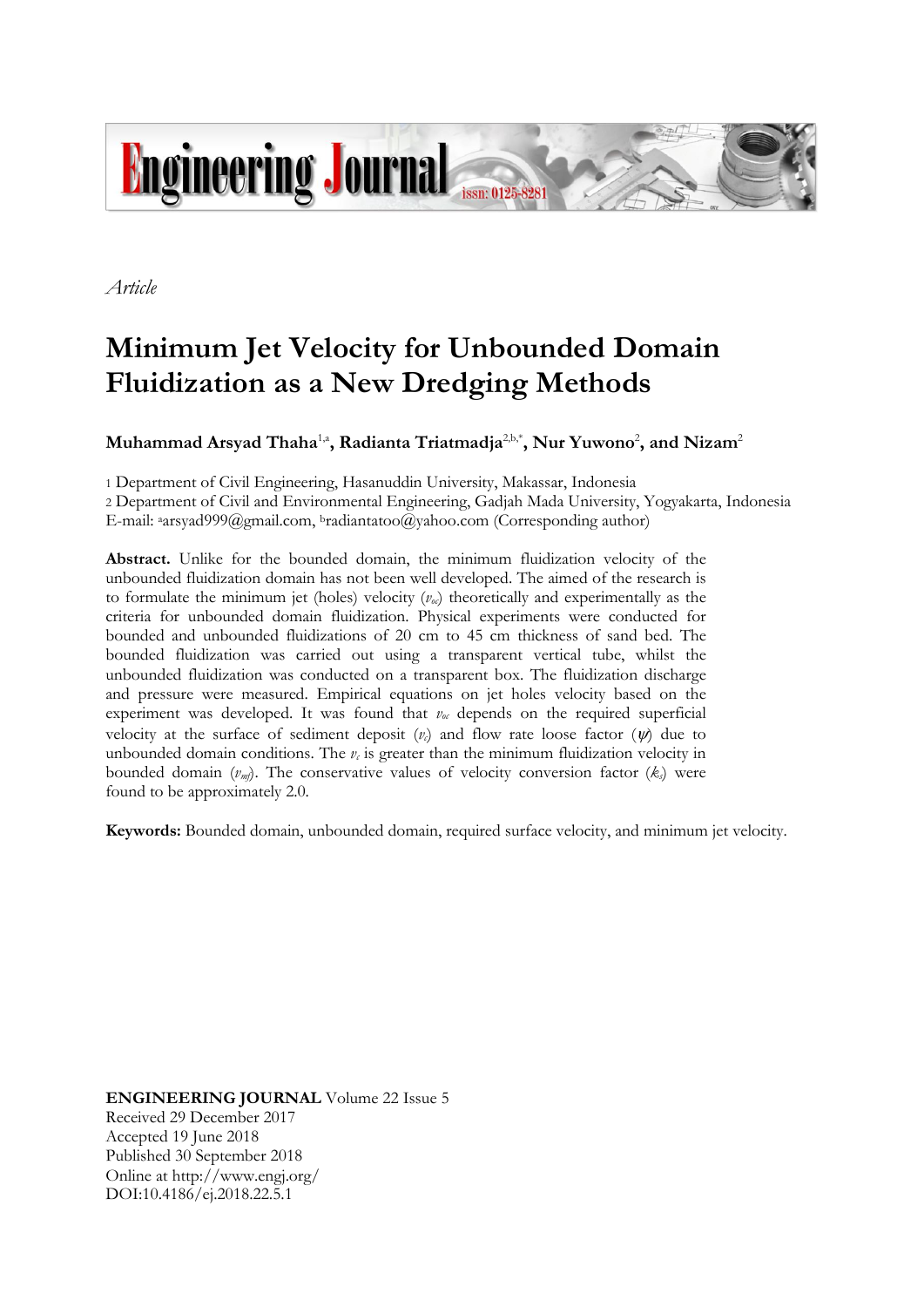

*Article*

# **Minimum Jet Velocity for Unbounded Domain Fluidization as a New Dredging Methods**

 $\mathbf{M}$ uhammad Arsyad Thaha $^{1, \mathsf{a}}$ , Radianta Triatmadja $^{2, \mathsf{b}, \mathsf{*}}$ , Nur Yuwono $^{2}$ , and Nizam $^{2}$ 

1 Department of Civil Engineering, Hasanuddin University, Makassar, Indonesia

2 Department of Civil and Environmental Engineering, Gadjah Mada University, Yogyakarta, Indonesia E-mail: <sup>a</sup>arsyad999@gmail.com, <sup>b</sup>radiantatoo@yahoo.com (Corresponding author)

**Abstract.** Unlike for the bounded domain, the minimum fluidization velocity of the unbounded fluidization domain has not been well developed. The aimed of the research is to formulate the minimum jet (holes) velocity  $(v_{\alpha})$  theoretically and experimentally as the criteria for unbounded domain fluidization. Physical experiments were conducted for bounded and unbounded fluidizations of 20 cm to 45 cm thickness of sand bed. The bounded fluidization was carried out using a transparent vertical tube, whilst the unbounded fluidization was conducted on a transparent box. The fluidization discharge and pressure were measured. Empirical equations on jet holes velocity based on the experiment was developed. It was found that *voc* depends on the required superficial velocity at the surface of sediment deposit  $(v<sub>c</sub>)$  and flow rate loose factor  $(\psi)$  due to unbounded domain conditions. The  $v_c$  is greater than the minimum fluidization velocity in bounded domain  $(v_m)$ . The conservative values of velocity conversion factor  $(k_s)$  were found to be approximately 2.0.

**Keywords:** Bounded domain, unbounded domain, required surface velocity, and minimum jet velocity.

**ENGINEERING JOURNAL** Volume 22 Issue 5 Received 29 December 2017 Accepted 19 June 2018 Published 30 September 2018 Online at http://www.engj.org/ DOI:10.4186/ej.2018.22.5.1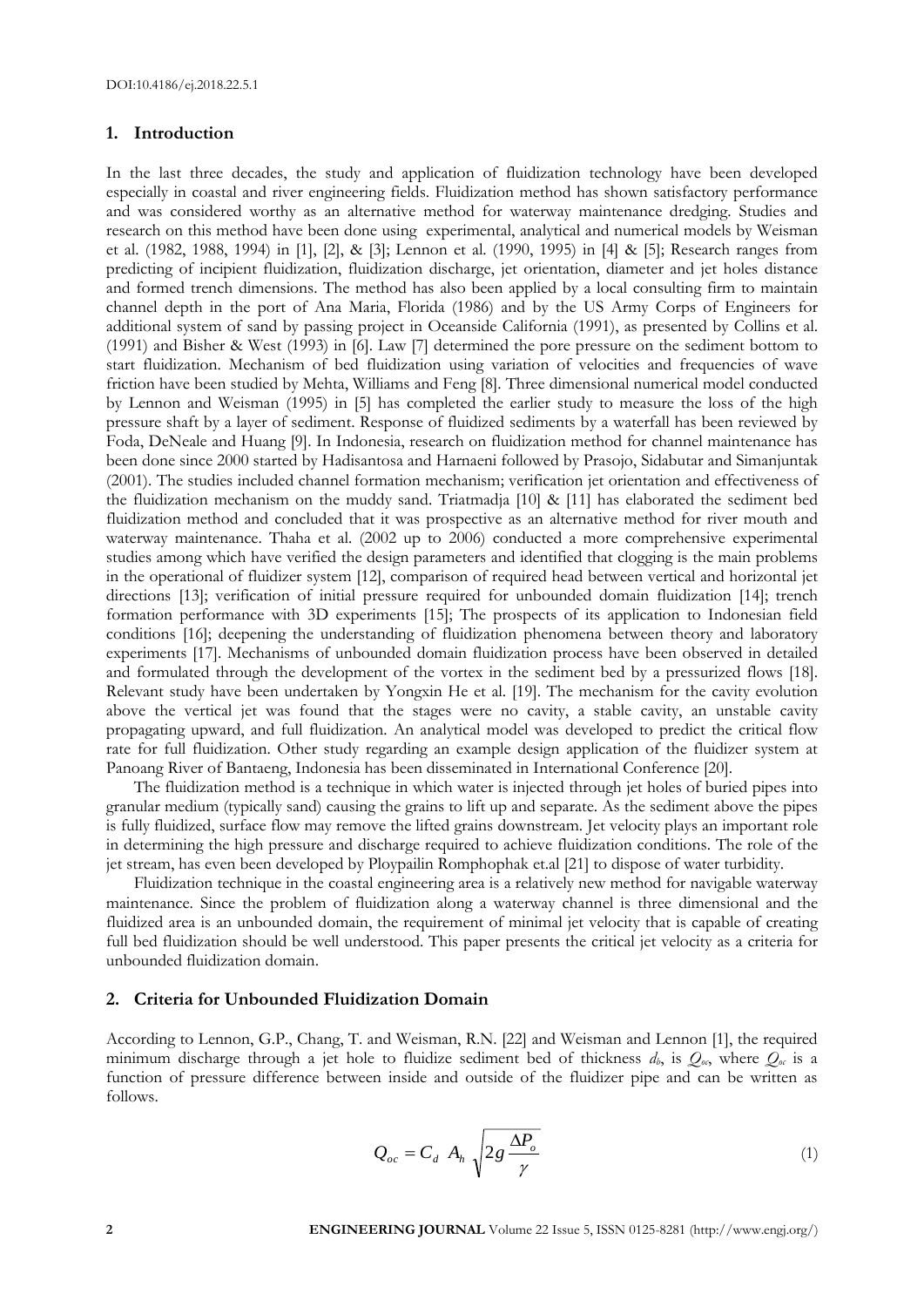## **1. Introduction**

In the last three decades, the study and application of fluidization technology have been developed especially in coastal and river engineering fields. Fluidization method has shown satisfactory performance and was considered worthy as an alternative method for waterway maintenance dredging. Studies and research on this method have been done using experimental, analytical and numerical models by Weisman et al. (1982, 1988, 1994) in [1], [2], & [3]; Lennon et al. (1990, 1995) in [4] & [5]; Research ranges from predicting of incipient fluidization, fluidization discharge, jet orientation, diameter and jet holes distance and formed trench dimensions. The method has also been applied by a local consulting firm to maintain channel depth in the port of Ana Maria, Florida (1986) and by the US Army Corps of Engineers for additional system of sand by passing project in Oceanside California (1991), as presented by Collins et al. (1991) and Bisher & West (1993) in [6]. Law [7] determined the pore pressure on the sediment bottom to start fluidization. Mechanism of bed fluidization using variation of velocities and frequencies of wave friction have been studied by Mehta, Williams and Feng [8]. Three dimensional numerical model conducted by Lennon and Weisman (1995) in [5] has completed the earlier study to measure the loss of the high pressure shaft by a layer of sediment. Response of fluidized sediments by a waterfall has been reviewed by Foda, DeNeale and Huang [9]. In Indonesia, research on fluidization method for channel maintenance has been done since 2000 started by Hadisantosa and Harnaeni followed by Prasojo, Sidabutar and Simanjuntak (2001). The studies included channel formation mechanism; verification jet orientation and effectiveness of the fluidization mechanism on the muddy sand. Triatmadja [10] & [11] has elaborated the sediment bed fluidization method and concluded that it was prospective as an alternative method for river mouth and waterway maintenance. Thaha et al. (2002 up to 2006) conducted a more comprehensive experimental studies among which have verified the design parameters and identified that clogging is the main problems in the operational of fluidizer system [12], comparison of required head between vertical and horizontal jet directions [13]; verification of initial pressure required for unbounded domain fluidization [14]; trench formation performance with 3D experiments [15]; The prospects of its application to Indonesian field conditions [16]; deepening the understanding of fluidization phenomena between theory and laboratory experiments [17]. Mechanisms of unbounded domain fluidization process have been observed in detailed and formulated through the development of the vortex in the sediment bed by a pressurized flows [18]. Relevant study have been undertaken by [Yongxin](https://ascelibrary.org/author/He%2C+Yongxin) He et al. [19]. The mechanism for the cavity evolution above the vertical jet was found that the stages were no cavity, a stable cavity, an unstable cavity propagating upward, and full fluidization. An analytical model was developed to predict the critical flow rate for full fluidization. Other study regarding an example design application of the fluidizer system at Panoang River of Bantaeng, Indonesia has been disseminated in International Conference [20].

The fluidization method is a technique in which water is injected through jet holes of buried pipes into granular medium (typically sand) causing the grains to lift up and separate. As the sediment above the pipes is fully fluidized, surface flow may remove the lifted grains downstream. Jet velocity plays an important role in determining the high pressure and discharge required to achieve fluidization conditions. The role of the jet stream, has even been developed by Ploypailin Romphophak et.al [21] to dispose of water turbidity.

Fluidization technique in the coastal engineering area is a relatively new method for navigable waterway maintenance. Since the problem of fluidization along a waterway channel is three dimensional and the fluidized area is an unbounded domain, the requirement of minimal jet velocity that is capable of creating full bed fluidization should be well understood. This paper presents the critical jet velocity as a criteria for unbounded fluidization domain.

# **2. Criteria for Unbounded Fluidization Domain**

According to Lennon, G.P., Chang, T. and Weisman, R.N. [22] and Weisman and Lennon [1], the required minimum discharge through a jet hole to fluidize sediment bed of thickness  $d_b$ , is  $Q_{\alpha}$ , where  $Q_{\alpha}$  is a function of pressure difference between inside and outside of the fluidizer pipe and can be written as follows.

$$
Q_{oc} = C_d A_h \sqrt{2g \frac{\Delta P_o}{\gamma}}
$$
 (1)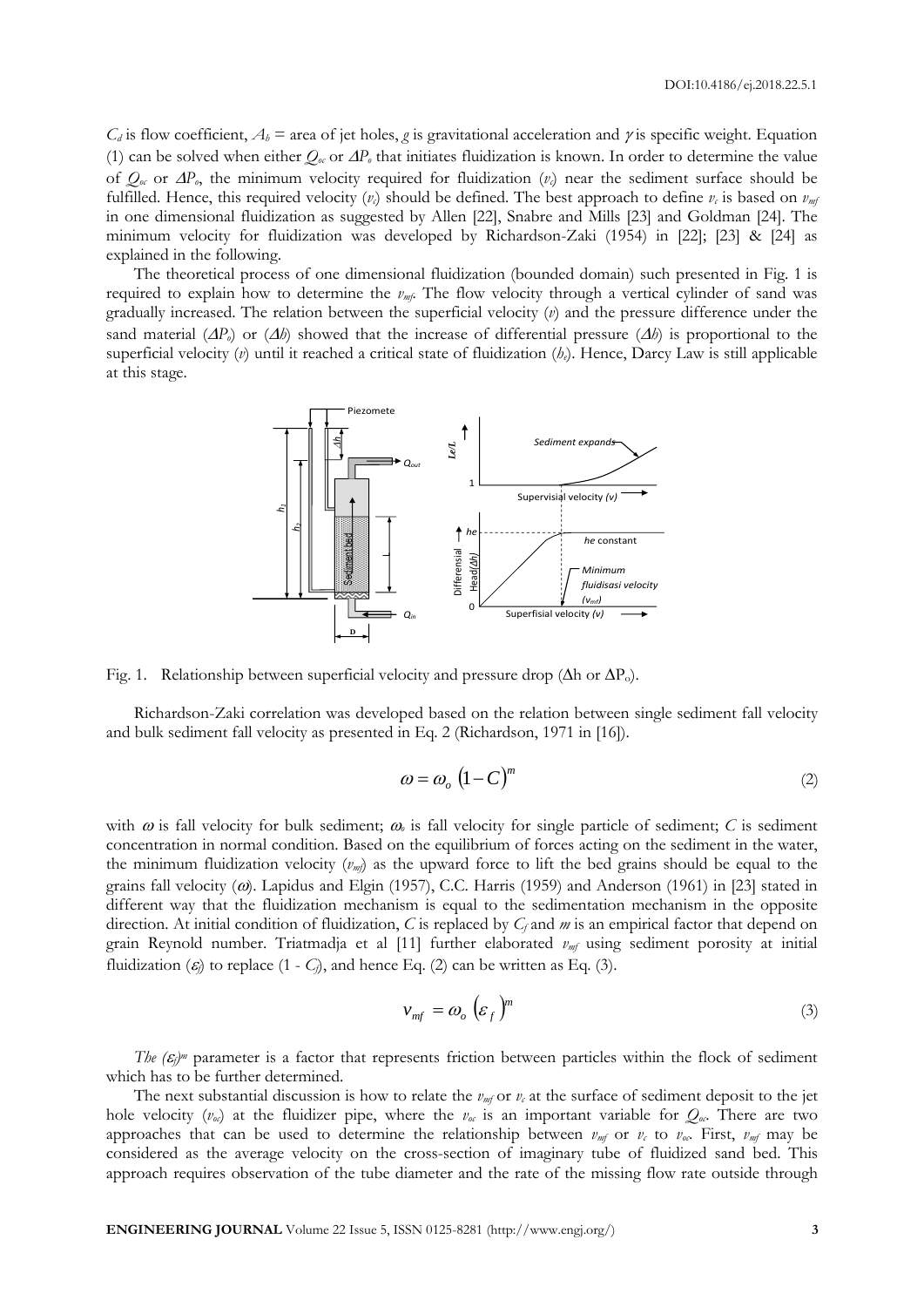$C_d$  is flow coefficient,  $A_b$  = area of jet holes, *g* is gravitational acceleration and  $\gamma$  is specific weight. Equation (1) can be solved when either  $Q_\text{0}$  or  $\Delta P_\text{0}$  that initiates fluidization is known. In order to determine the value of  $Q_{\alpha}$  or  $\Delta P_{\alpha}$ , the minimum velocity required for fluidization  $(v_c)$  near the sediment surface should be fulfilled. Hence, this required velocity  $(v_c)$  should be defined. The best approach to define  $v_c$  is based on  $v_{mt}$ in one dimensional fluidization as suggested by Allen [22], Snabre and Mills [23] and Goldman [24]. The minimum velocity for fluidization was developed by Richardson-Zaki (1954) in [22]; [23] & [24] as explained in the following.

The theoretical process of one dimensional fluidization (bounded domain) such presented in Fig. 1 is required to explain how to determine the  $\nu_{m}$ . The flow velocity through a vertical cylinder of sand was gradually increased. The relation between the superficial velocity (*v*) and the pressure difference under the sand material  $(\Delta P_o)$  or  $(\Delta b)$  showed that the increase of differential pressure  $(\Delta b)$  is proportional to the superficial velocity (*v*) until it reached a critical state of fluidization (*he*). Hence, Darcy Law is still applicable at this stage.



Fig. 1. Relationship between superficial velocity and pressure drop ( $\Delta h$  or  $\Delta P_o$ ).

Richardson-Zaki correlation was developed based on the relation between single sediment fall velocity and bulk sediment fall velocity as presented in Eq. 2 (Richardson, 1971 in [16]).

$$
\omega = \omega_o \left( 1 - C \right)^m \tag{2}
$$

with  $\omega$  is fall velocity for bulk sediment;  $\omega$  is fall velocity for single particle of sediment; *C* is sediment concentration in normal condition. Based on the equilibrium of forces acting on the sediment in the water, the minimum fluidization velocity  $(v_m)$  as the upward force to lift the bed grains should be equal to the grains fall velocity ( $\omega$ ). Lapidus and Elgin (1957), C.C. Harris (1959) and Anderson (1961) in [23] stated in different way that the fluidization mechanism is equal to the sedimentation mechanism in the opposite direction. At initial condition of fluidization, *C* is replaced by *C<sup>f</sup>* and *m* is an empirical factor that depend on grain Reynold number. Triatmadja et al [11] further elaborated *vmf* using sediment porosity at initial fluidization  $(\varepsilon)$  to replace  $(1 - C)$ , and hence Eq. (2) can be written as Eq. (3).

$$
v_{mf} = \omega_o \left( \varepsilon_f \right)^m \tag{3}
$$

*The*  $(\varepsilon_j)$ <sup>*m*</sup> parameter is a factor that represents friction between particles within the flock of sediment which has to be further determined.

The next substantial discussion is how to relate the  $\nu_m$  or  $\nu_c$  at the surface of sediment deposit to the jet hole velocity  $(v_{\alpha})$  at the fluidizer pipe, where the  $v_{\alpha}$  is an important variable for  $Q_{\alpha}$ . There are two approaches that can be used to determine the relationship between  $v_{m}$  or  $v_c$  to  $v_{oc}$ . First,  $v_{m}$  may be considered as the average velocity on the cross-section of imaginary tube of fluidized sand bed. This approach requires observation of the tube diameter and the rate of the missing flow rate outside through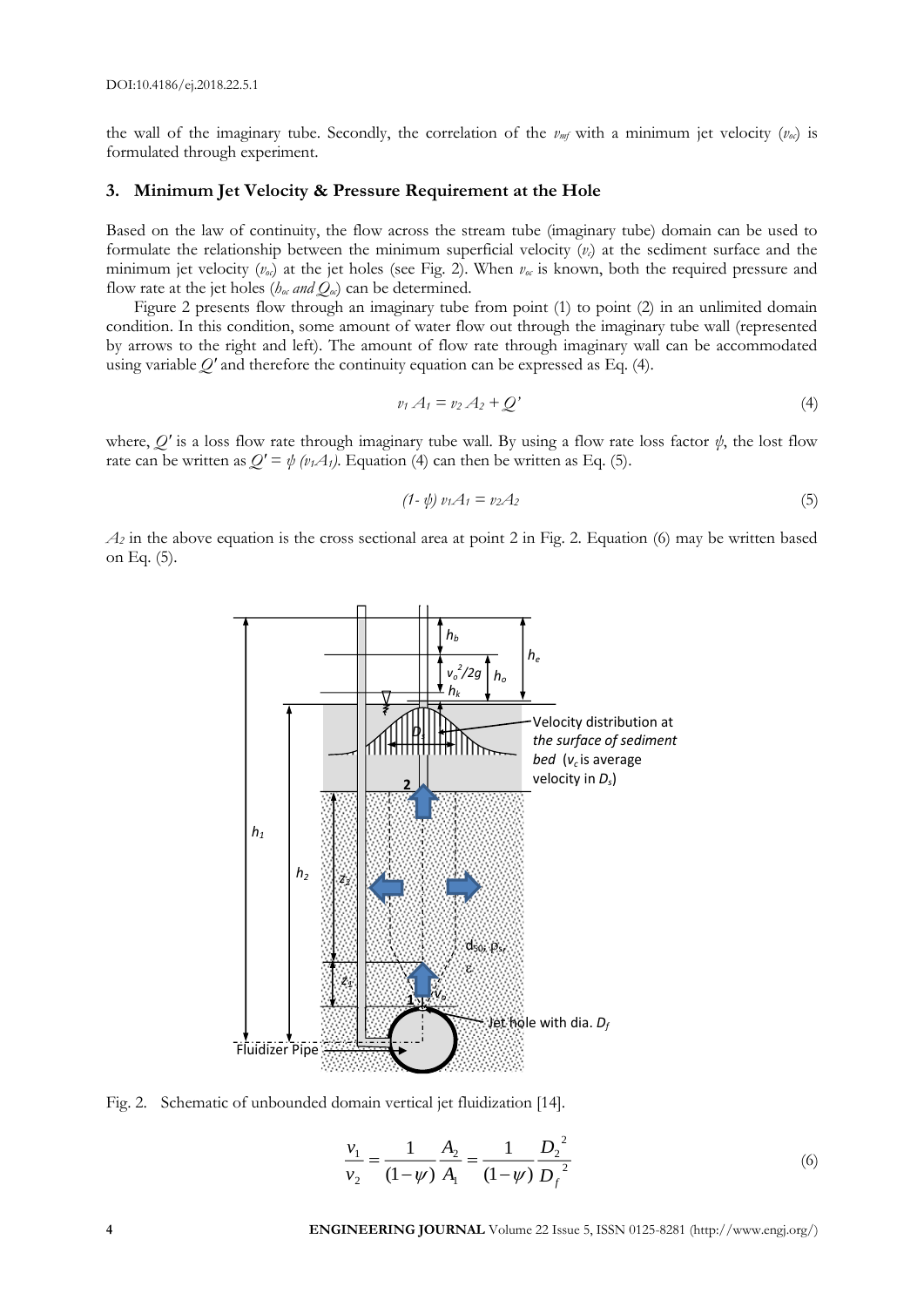DOI:10.4186/ej.2018.22.5.1

the wall of the imaginary tube. Secondly, the correlation of the  $\nu_m f$  with a minimum jet velocity  $(\nu_{\alpha})$  is formulated through experiment.

### **3. Minimum Jet Velocity & Pressure Requirement at the Hole**

Based on the law of continuity, the flow across the stream tube (imaginary tube) domain can be used to formulate the relationship between the minimum superficial velocity (*vc*) at the sediment surface and the minimum jet velocity  $(v_{\theta})$  at the jet holes (see Fig. 2). When  $v_{\theta}$  is known, both the required pressure and flow rate at the jet holes ( $h_{\theta c}$  *and*  $Q_{\theta c}$ ) can be determined.

Figure 2 presents flow through an imaginary tube from point (1) to point (2) in an unlimited domain condition. In this condition, some amount of water flow out through the imaginary tube wall (represented by arrows to the right and left). The amount of flow rate through imaginary wall can be accommodated using variable *Q'* and therefore the continuity equation can be expressed as Eq. (4).

$$
v_1 A_1 = v_2 A_2 + Q'
$$
\n<sup>(4)</sup>

where, *Q'* is a loss flow rate through imaginary tube wall. By using a flow rate loss factor *ψ*, the lost flow rate can be written as  $Q' = \psi (v_1 A_1)$ . Equation (4) can then be written as Eq. (5).

$$
(1 - \psi) v_1 A_1 = v_2 A_2 \tag{5}
$$

 $A_2$  in the above equation is the cross sectional area at point 2 in Fig. 2. Equation (6) may be written based on Eq. (5).



Fig. 2. Schematic of unbounded domain vertical jet fluidization [14].

$$
\frac{v_1}{v_2} = \frac{1}{(1-\psi)} \frac{A_2}{A_1} = \frac{1}{(1-\psi)} \frac{D_2^2}{D_f^2}
$$
(6)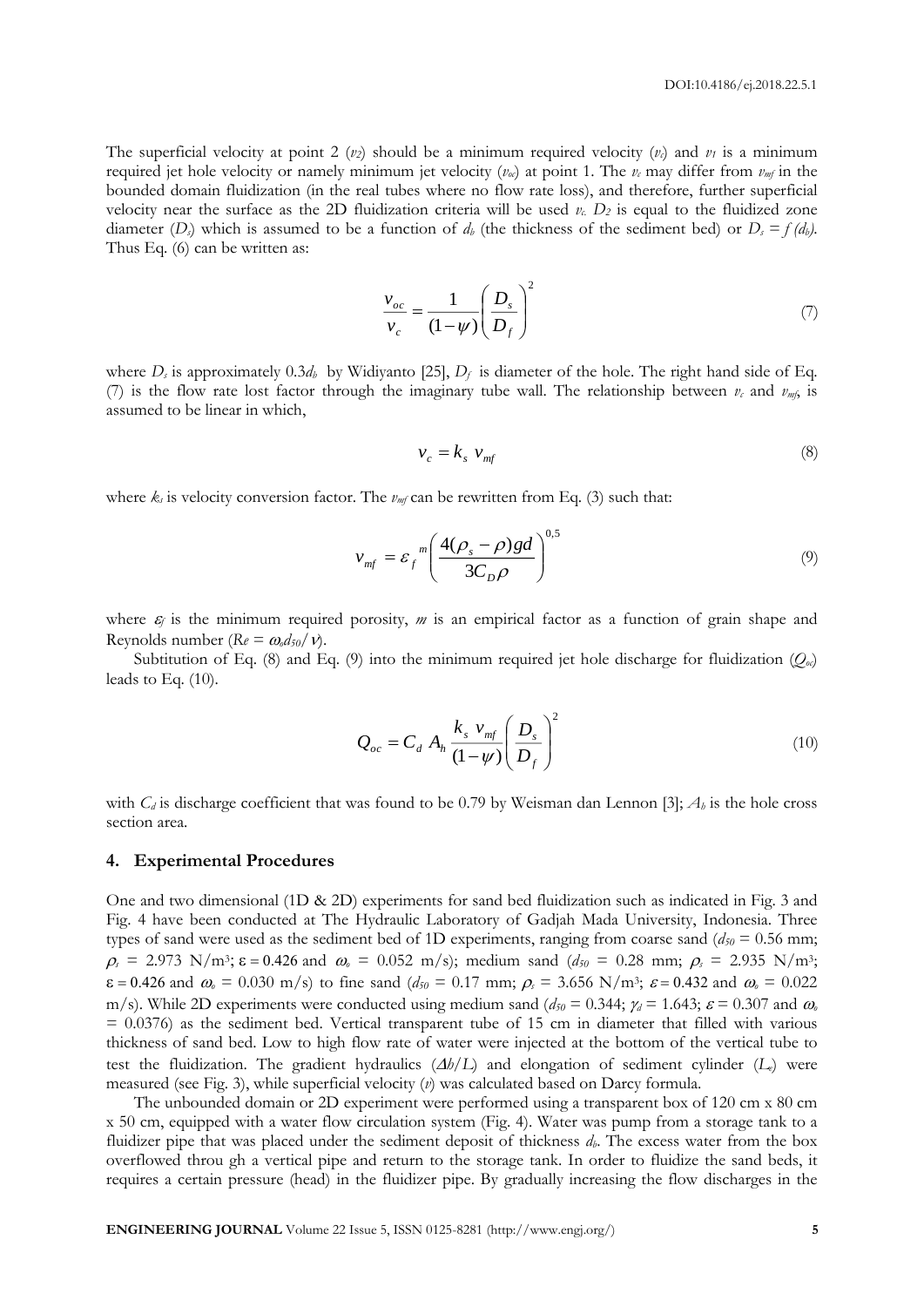The superficial velocity at point 2  $(v_2)$  should be a minimum required velocity  $(v_1)$  and  $v_1$  is a minimum required jet hole velocity or namely minimum jet velocity  $(v_{\alpha})$  at point 1. The  $v_c$  may differ from  $v_{m}$  in the bounded domain fluidization (in the real tubes where no flow rate loss), and therefore, further superficial velocity near the surface as the 2D fluidization criteria will be used  $v_c$ .  $D_2$  is equal to the fluidized zone diameter  $(D)$  which is assumed to be a function of  $d<sub>b</sub>$  (the thickness of the sediment bed) or  $D<sub>s</sub> = f(d<sub>b</sub>)$ . Thus Eq. (6) can be written as:

$$
\frac{v_{oc}}{v_c} = \frac{1}{(1-\psi)} \left(\frac{D_s}{D_f}\right)^2\tag{7}
$$

where  $D_s$  is approximately 0.3 $d_b$  by Widiyanto [25],  $D_f$  is diameter of the hole. The right hand side of Eq. (7) is the flow rate lost factor through the imaginary tube wall. The relationship between  $v_c$  and  $v_{mfs}$  is assumed to be linear in which,

$$
v_c = k_s \ v_{mf} \tag{8}
$$

where  $k_s$  is velocity conversion factor. The  $v_{m}$  can be rewritten from Eq. (3) such that:

$$
v_{mf} = \varepsilon_f^m \left( \frac{4(\rho_s - \rho)gd}{3C_D \rho} \right)^{0.5}
$$
 (9)

where  $\varepsilon_f$  is the minimum required porosity,  $m$  is an empirical factor as a function of grain shape and Reynolds number ( $Re = \omega_0 d_{50}/v$ ).

Subtitution of Eq. (8) and Eq. (9) into the minimum required jet hole discharge for fluidization  $(O_{\alpha})$ leads to Eq. (10).

$$
Q_{oc} = C_d A_h \frac{k_s v_{mf}}{(1-\psi)} \left(\frac{D_s}{D_f}\right)^2
$$
\n(10)

with  $C_d$  is discharge coefficient that was found to be 0.79 by Weisman dan Lennon [3];  $A_b$  is the hole cross section area.

## **4. Experimental Procedures**

One and two dimensional (1D & 2D) experiments for sand bed fluidization such as indicated in Fig. 3 and Fig. 4 have been conducted at The Hydraulic Laboratory of Gadjah Mada University, Indonesia. Three types of sand were used as the sediment bed of 1D experiments, ranging from coarse sand ( $d_{50} = 0.56$  mm;  $\rho_s = 2.973 \text{ N/m}^3$ ;  $\varepsilon = 0.426$  and  $\omega_s = 0.052 \text{ m/s}$ ; medium sand  $(d_{50} = 0.28 \text{ mm}; \rho_s = 2.935 \text{ N/m}^3)$ ;  $\varepsilon = 0.426$  and  $\omega_0 = 0.030$  m/s) to fine sand  $(d_{50} = 0.17$  mm;  $\rho_s = 3.656$  N/m<sup>3</sup>;  $\varepsilon = 0.432$  and  $\omega_0 = 0.022$ m/s). While 2D experiments were conducted using medium sand ( $d_{50} = 0.344$ ;  $\gamma_d = 1.643$ ;  $\varepsilon = 0.307$  and  $\omega_a$  $= 0.0376$ ) as the sediment bed. Vertical transparent tube of 15 cm in diameter that filled with various thickness of sand bed. Low to high flow rate of water were injected at the bottom of the vertical tube to test the fluidization. The gradient hydraulics  $(\Delta b/L)$  and elongation of sediment cylinder ( $L_e$ ) were measured (see Fig. 3), while superficial velocity (*v*) was calculated based on Darcy formula.

The unbounded domain or 2D experiment were performed using a transparent box of 120 cm x 80 cm x 50 cm, equipped with a water flow circulation system (Fig. 4). Water was pump from a storage tank to a fluidizer pipe that was placed under the sediment deposit of thickness *db*. The excess water from the box overflowed throu gh a vertical pipe and return to the storage tank. In order to fluidize the sand beds, it requires a certain pressure (head) in the fluidizer pipe. By gradually increasing the flow discharges in the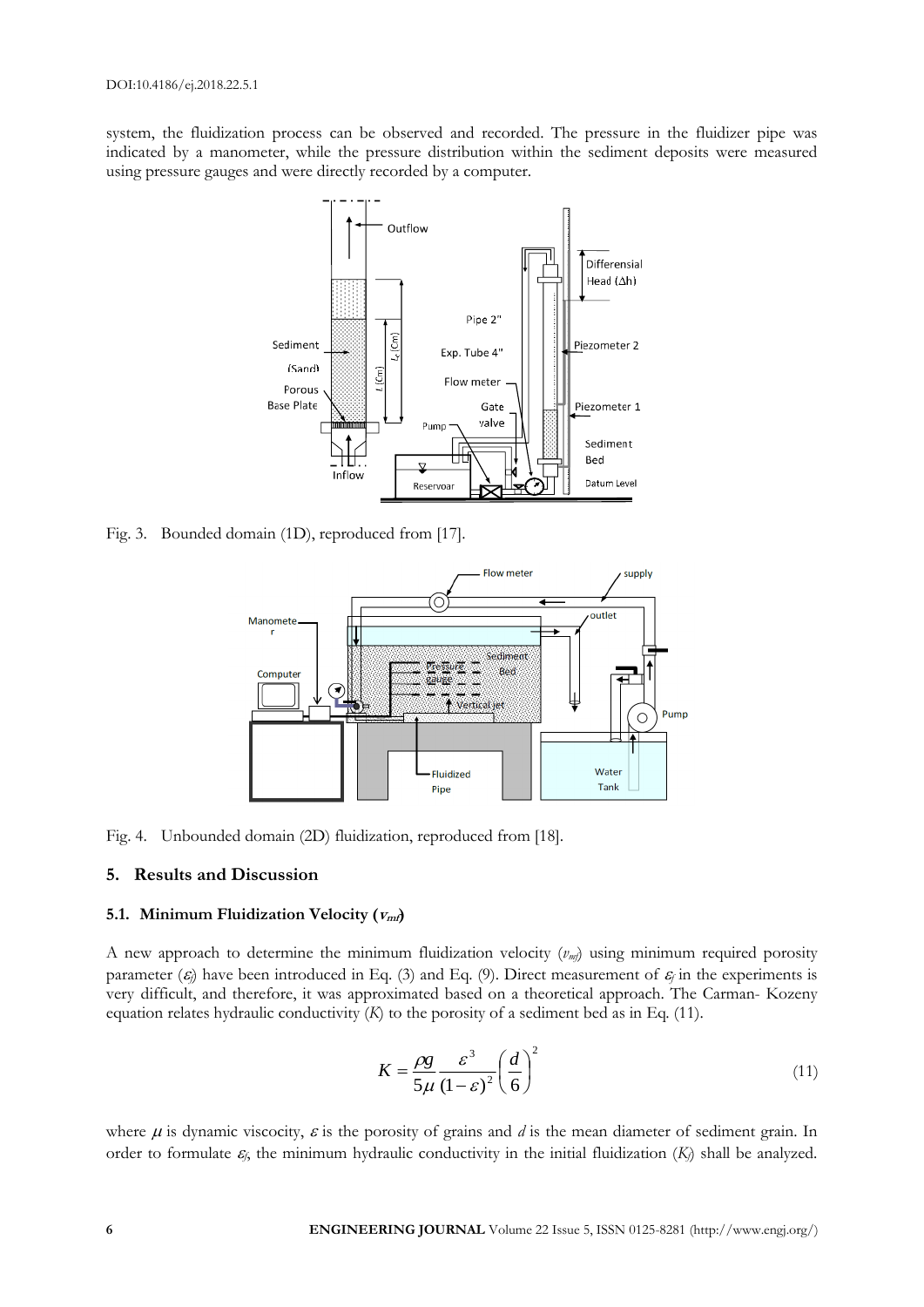system, the fluidization process can be observed and recorded. The pressure in the fluidizer pipe was indicated by a manometer, while the pressure distribution within the sediment deposits were measured using pressure gauges and were directly recorded by a computer.



Fig. 3. Bounded domain (1D), reproduced from [17].



Fig. 4. Unbounded domain (2D) fluidization, reproduced from [18].

# **5. Results and Discussion**

# **5.1. Minimum Fluidization Velocity**  $(V_{\text{nn}})$

A new approach to determine the minimum fluidization velocity (*vmf*) using minimum required porosity parameter  $(\varepsilon)$  have been introduced in Eq. (3) and Eq. (9). Direct measurement of  $\varepsilon$  in the experiments is very difficult, and therefore, it was approximated based on a theoretical approach. The Carman- Kozeny equation relates hydraulic conductivity (*K*) to the porosity of a sediment bed as in Eq. (11).

$$
K = \frac{\rho g}{5\mu} \frac{\varepsilon^3}{(1-\varepsilon)^2} \left(\frac{d}{6}\right)^2 \tag{11}
$$

where  $\mu$  is dynamic viscocity,  $\varepsilon$  is the porosity of grains and *d* is the mean diameter of sediment grain. In order to formulate  $\varepsilon$ <sub>*f*</sub>, the minimum hydraulic conductivity in the initial fluidization  $(K<sub>i</sub>)$  shall be analyzed.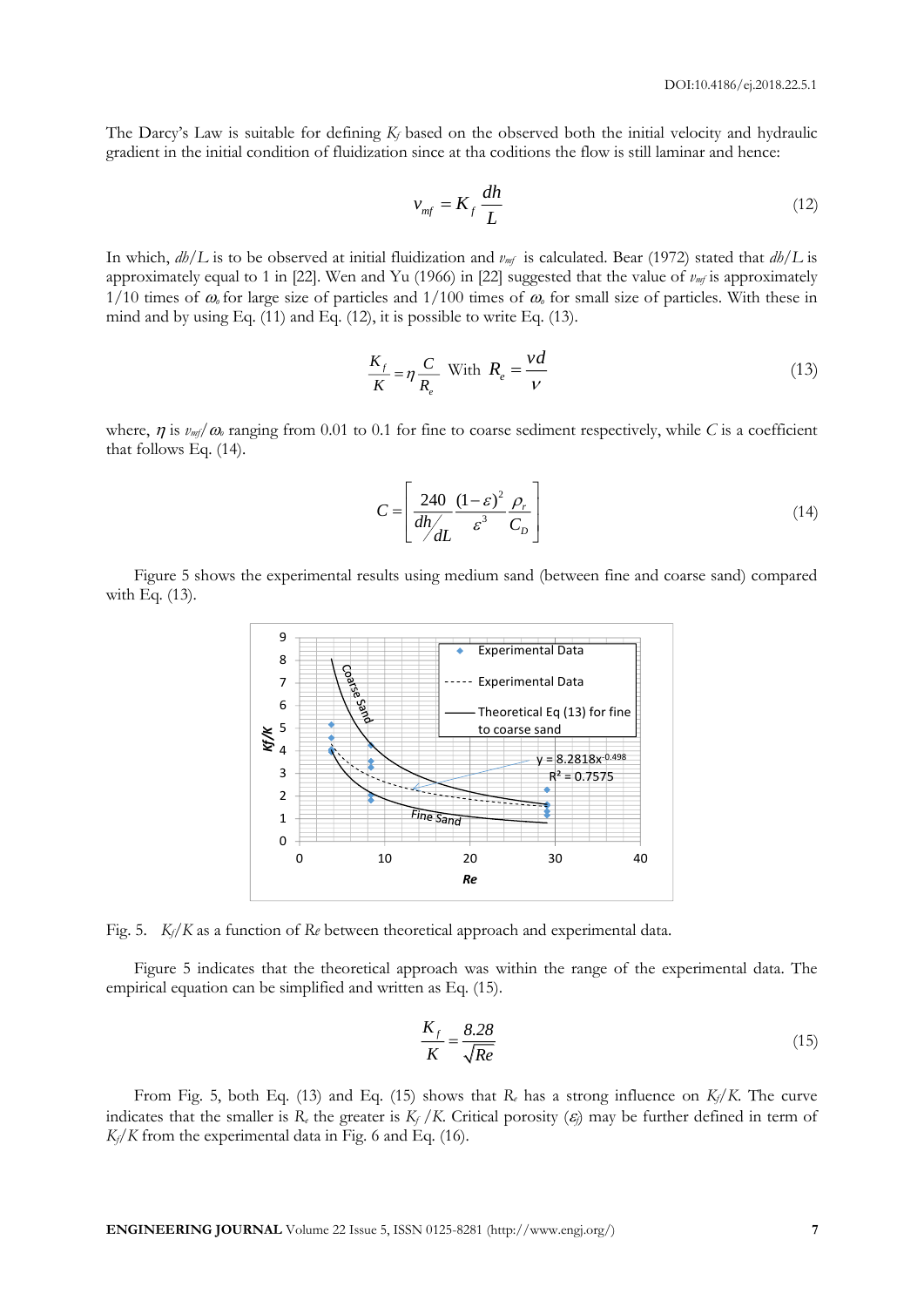The Darcy's Law is suitable for defining *K<sup>f</sup>* based on the observed both the initial velocity and hydraulic gradient in the initial condition of fluidization since at tha coditions the flow is still laminar and hence:

$$
v_{\rm mf} = K_f \frac{dh}{L} \tag{12}
$$

In which, *dh/L* is to be observed at initial fluidization and *vmf* is calculated. Bear (1972) stated that *dh/L* is approximately equal to 1 in [22]. Wen and Yu (1966) in [22] suggested that the value of  $v_{m}$  is approximately  $1/10$  times of  $\omega$  for large size of particles and  $1/100$  times of  $\omega$  for small size of particles. With these in mind and by using Eq. (11) and Eq. (12), it is possible to write Eq. (13).

$$
\frac{K_f}{K} = \eta \frac{C}{R_e} \text{ With } R_e = \frac{vd}{V} \tag{13}
$$

where,  $\eta$  is  $\nu_{m}/\omega$  ranging from 0.01 to 0.1 for fine to coarse sediment respectively, while *C* is a coefficient that follows Eq. (14).

$$
C = \left[ \frac{240}{dh/ \frac{d\hbar}{dL}} \frac{(1 - \varepsilon)^2}{\varepsilon^3} \frac{\rho_r}{C_D} \right]
$$
 (14)

Figure 5 shows the experimental results using medium sand (between fine and coarse sand) compared with Eq. (13).



Fig. 5. *Kf/K* as a function of *Re* between theoretical approach and experimental data.

Figure 5 indicates that the theoretical approach was within the range of the experimental data. The empirical equation can be simplified and written as Eq. (15).

$$
\frac{K_f}{K} = \frac{8.28}{\sqrt{Re}}\tag{15}
$$

From Fig. 5, both Eq. (13) and Eq. (15) shows that  $R_e$  has a strong influence on  $K_f/K$ . The curve indicates that the smaller is  $R_e$  the greater is  $K_f/K$ . Critical porosity  $(\varepsilon)$  may be further defined in term of  $K_f/K$  from the experimental data in Fig. 6 and Eq. (16).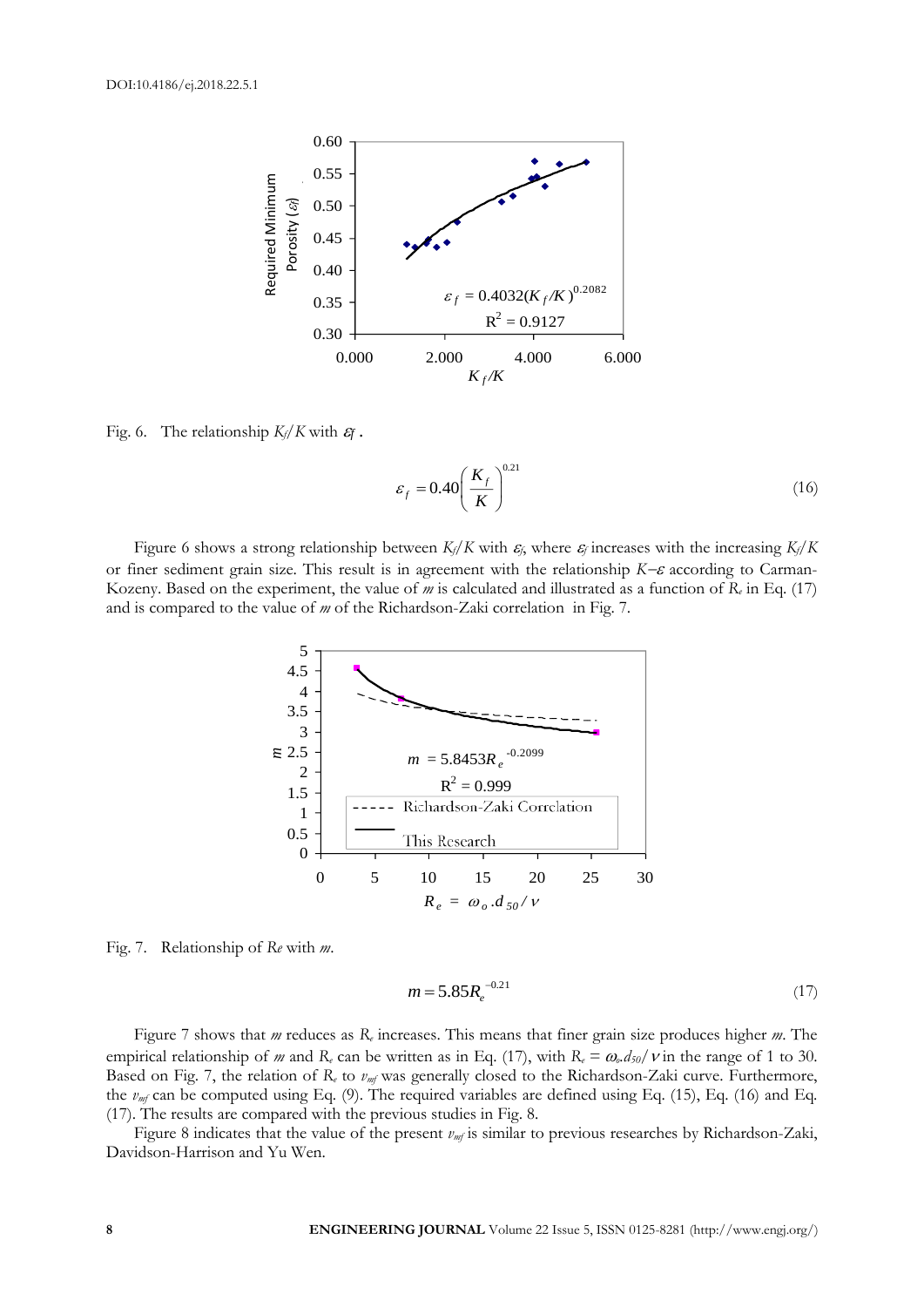

Fig. 6. The relationship  $K_f/K$  with  $\mathcal{E}_f$ .

$$
\varepsilon_f = 0.40 \left( \frac{K_f}{K} \right)^{0.21} \tag{16}
$$

Figure 6 shows a strong relationship between  $K_f/K$  with  $\varepsilon_f$ , where  $\varepsilon_f$  increases with the increasing  $K_f/K$ or finer sediment grain size. This result is in agreement with the relationship  $K-\varepsilon$  according to Carman-Kozeny. Based on the experiment, the value of *m* is calculated and illustrated as a function of *R<sup>e</sup>* in Eq. (17) and is compared to the value of *m* of the Richardson-Zaki correlation in Fig. 7.



Fig. 7. Relationship of *Re* with *m*.

$$
m = 5.85 R_e^{-0.21}
$$
 (17)

Figure 7 shows that *m* reduces as *R<sup>e</sup>* increases. This means that finer grain size produces higher *m*. The empirical relationship of *m* and  $R_e$  can be written as in Eq. (17), with  $R_e = \omega_e d_{50}/v$  in the range of 1 to 30. Based on Fig. 7, the relation of *R<sup>e</sup>* to *vmf* was generally closed to the Richardson-Zaki curve. Furthermore, the *vmf* can be computed using Eq. (9). The required variables are defined using Eq. (15), Eq. (16) and Eq. (17). The results are compared with the previous studies in Fig. 8.

Figure 8 indicates that the value of the present  $v_{m}$  is similar to previous researches by Richardson-Zaki, Davidson-Harrison and Yu Wen.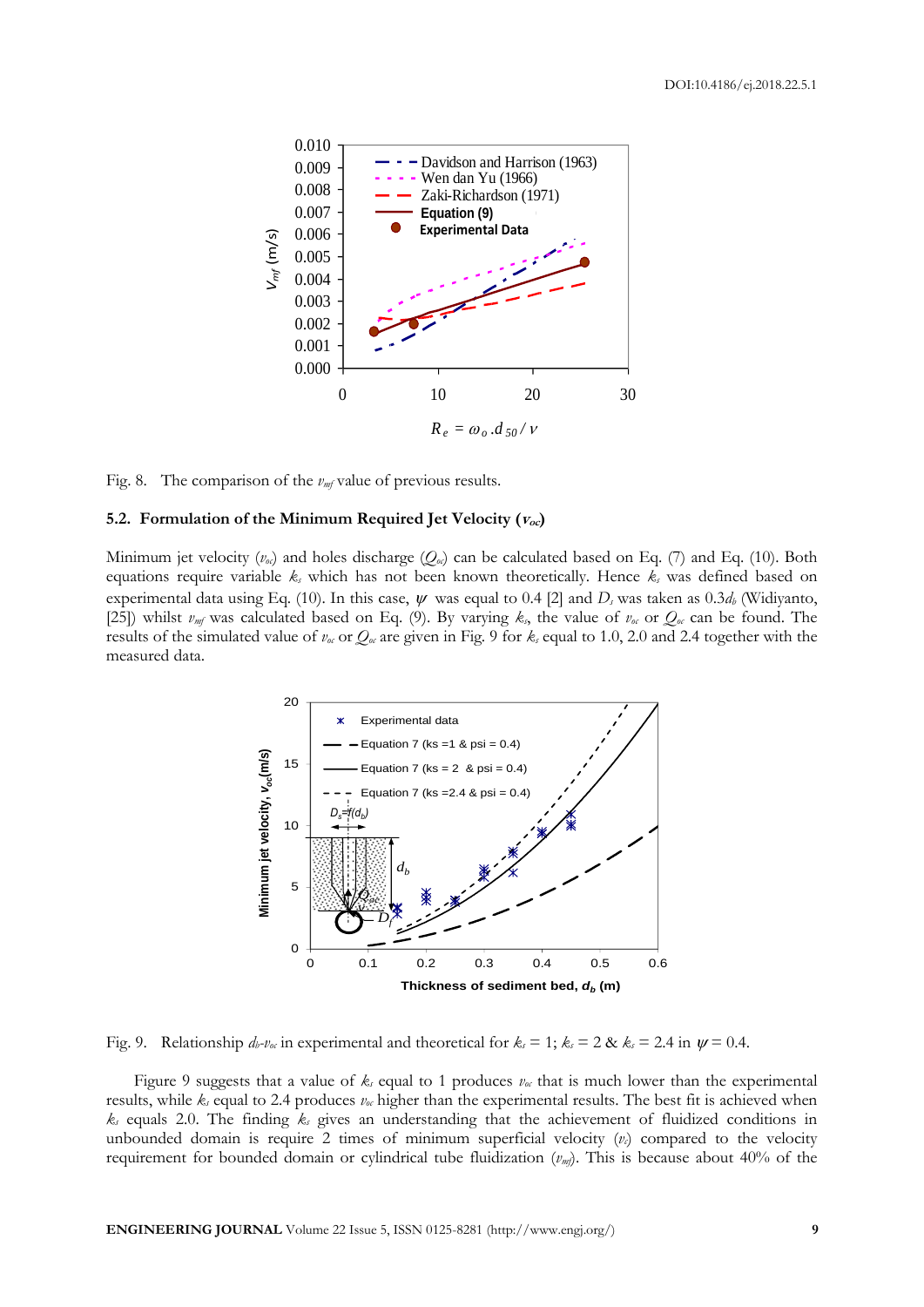

Fig. 8. The comparison of the  $v_{m}$  value of previous results.

## **5.2. Formulation** of the Minimum Required Jet Velocity  $(V_{oc})$

Minimum jet velocity  $(v_{\alpha})$  and holes discharge  $(Q_{\alpha})$  can be calculated based on Eq. (7) and Eq. (10). Both equations require variable *k<sup>s</sup>* which has not been known theoretically. Hence *k<sup>s</sup>* was defined based on experimental data using Eq. (10). In this case,  $\psi$  was equal to 0.4 [2] and  $D_s$  was taken as 0.3 $d_b$  (Widiyanto, [25]) whilst  $v_{m}$  was calculated based on Eq. (9). By varying  $k_s$ , the value of  $v_{\alpha}$  or  $Q_{\alpha}$  can be found. The results of the simulated value of  $v_\text{o}$  or  $Q_\text{o}$  are given in Fig. 9 for  $k_\text{s}$  equal to 1.0, 2.0 and 2.4 together with the measured data.



Fig. 9. Relationship  $d_b \nu_\alpha$  in experimental and theoretical for  $k_s = 1$ ;  $k_s = 2$  &  $k_s = 2.4$  in  $\psi = 0.4$ .

Figure 9 suggests that a value of  $k_s$  equal to 1 produces  $v_\alpha$  that is much lower than the experimental results, while *k<sup>s</sup>* equal to 2.4 produces *voc* higher than the experimental results. The best fit is achieved when *k<sup>s</sup>* equals 2.0. The finding *k<sup>s</sup>* gives an understanding that the achievement of fluidized conditions in unbounded domain is require 2 times of minimum superficial velocity  $(v<sub>c</sub>)$  compared to the velocity requirement for bounded domain or cylindrical tube fluidization (*vmf*). This is because about 40% of the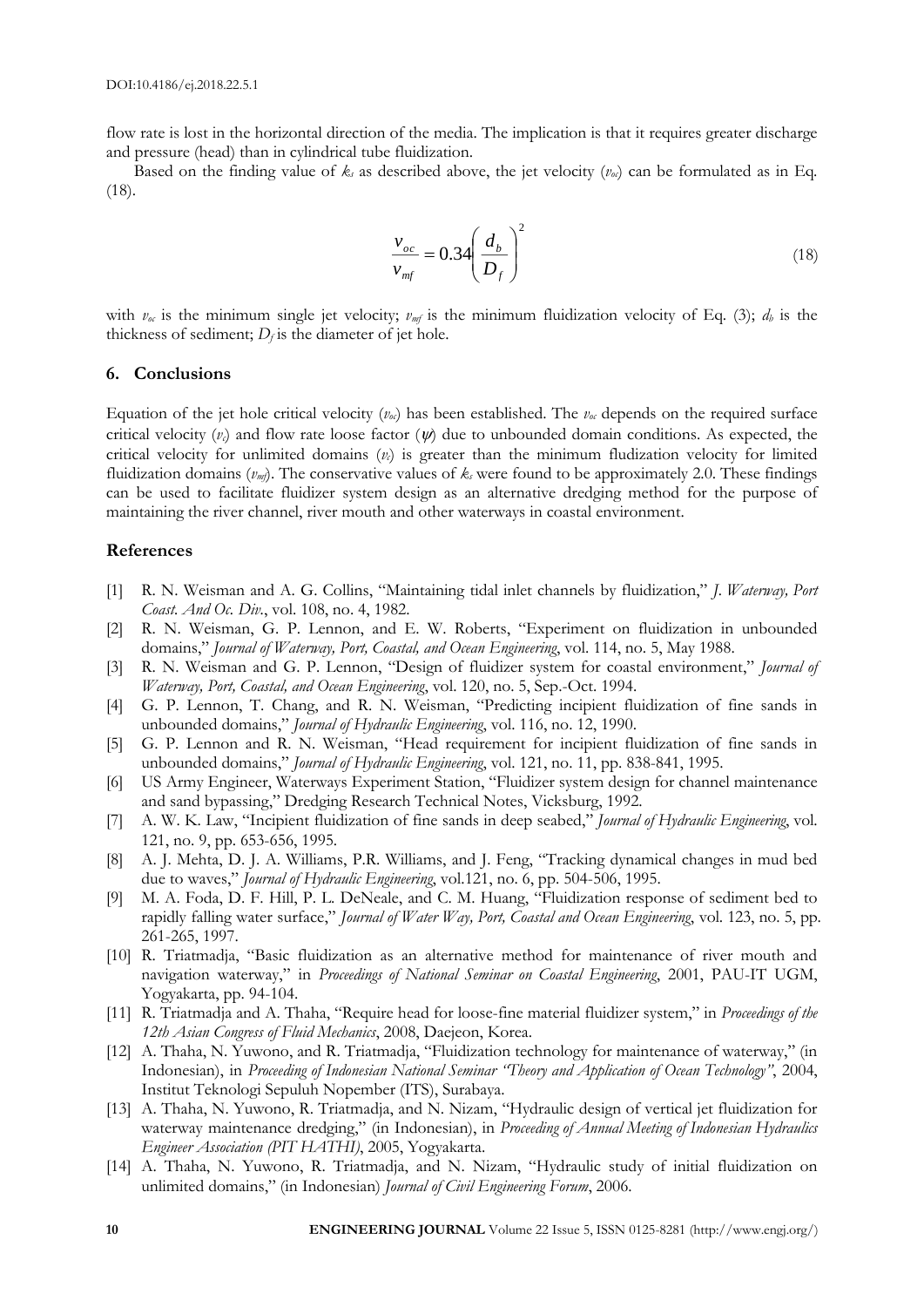flow rate is lost in the horizontal direction of the media. The implication is that it requires greater discharge and pressure (head) than in cylindrical tube fluidization.

Based on the finding value of  $k_s$  as described above, the jet velocity  $(v_{\alpha})$  can be formulated as in Eq. (18).

$$
\frac{v_{oc}}{v_{mf}} = 0.34 \left(\frac{d_b}{D_f}\right)^2\tag{18}
$$

with  $v_{\alpha}$  is the minimum single jet velocity;  $v_{m}$  is the minimum fluidization velocity of Eq. (3);  $d_{b}$  is the thickness of sediment;  $D_f$  is the diameter of jet hole.

#### **6. Conclusions**

Equation of the jet hole critical velocity  $(v_{\alpha})$  has been established. The  $v_{\alpha}$  depends on the required surface critical velocity  $(v_i)$  and flow rate loose factor  $(w)$  due to unbounded domain conditions. As expected, the critical velocity for unlimited domains  $(v<sub>c</sub>)$  is greater than the minimum fludization velocity for limited fluidization domains  $(v_m)$ . The conservative values of  $k_s$  were found to be approximately 2.0. These findings can be used to facilitate fluidizer system design as an alternative dredging method for the purpose of maintaining the river channel, river mouth and other waterways in coastal environment.

# **References**

- [1] R. N. Weisman and A. G. Collins, "Maintaining tidal inlet channels by fluidization," *J. Waterway, Port Coast. And Oc. Div.*, vol. 108, no. 4, 1982.
- [2] R. N. Weisman, G. P. Lennon, and E. W. Roberts, "Experiment on fluidization in unbounded domains," *Journal of Waterway, Port, Coastal, and Ocean Engineering*, vol. 114, no. 5, May 1988.
- [3] R. N. Weisman and G. P. Lennon, "Design of fluidizer system for coastal environment," *Journal of Waterway, Port, Coastal, and Ocean Engineering*, vol. 120, no. 5, Sep.-Oct. 1994.
- [4] G. P. Lennon, T. Chang, and R. N. Weisman, "Predicting incipient fluidization of fine sands in unbounded domains," *Journal of Hydraulic Engineering*, vol. 116, no. 12, 1990.
- [5] G. P. Lennon and R. N. Weisman, "Head requirement for incipient fluidization of fine sands in unbounded domains," *Journal of Hydraulic Engineering*, vol. 121, no. 11, pp. 838-841, 1995.
- [6] US Army Engineer, Waterways Experiment Station, "Fluidizer system design for channel maintenance and sand bypassing," Dredging Research Technical Notes, Vicksburg, 1992.
- [7] A. W. K. Law, "Incipient fluidization of fine sands in deep seabed," *Journal of Hydraulic Engineering*, vol. 121, no. 9, pp. 653-656, 1995.
- [8] A. J. Mehta, D. J. A. Williams, P.R. Williams, and J. Feng, "Tracking dynamical changes in mud bed due to waves," *Journal of Hydraulic Engineering*, vol.121, no. 6, pp. 504-506, 1995.
- [9] M. A. Foda, D. F. Hill, P. L. DeNeale, and C. M. Huang, "Fluidization response of sediment bed to rapidly falling water surface," *Journal of Water Way, Port, Coastal and Ocean Engineering*, vol. 123, no. 5, pp. 261-265, 1997.
- [10] R. Triatmadja, "Basic fluidization as an alternative method for maintenance of river mouth and navigation waterway," in *Proceedings of National Seminar on Coastal Engineering*, 2001, PAU-IT UGM, Yogyakarta, pp. 94-104.
- [11] R. Triatmadja and A. Thaha, "Require head for loose-fine material fluidizer system," in *Proceedings of the 12th Asian Congress of Fluid Mechanics*, 2008, Daejeon, Korea.
- [12] A. Thaha, N. Yuwono, and R. Triatmadja, "Fluidization technology for maintenance of waterway," (in Indonesian), in *Proceeding of Indonesian National Seminar "Theory and Application of Ocean Technology"*, 2004, Institut Teknologi Sepuluh Nopember (ITS), Surabaya.
- [13] A. Thaha, N. Yuwono, R. Triatmadja, and N. Nizam, "Hydraulic design of vertical jet fluidization for waterway maintenance dredging," (in Indonesian), in *Proceeding of Annual Meeting of Indonesian Hydraulics Engineer Association (PIT HATHI)*, 2005, Yogyakarta.
- [14] A. Thaha, N. Yuwono, R. Triatmadja, and N. Nizam, "Hydraulic study of initial fluidization on unlimited domains," (in Indonesian) *Journal of Civil Engineering Forum*, 2006.